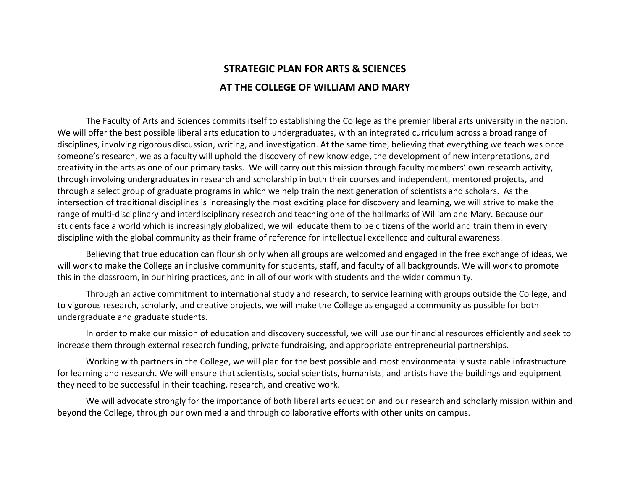# STRATEGIC PLAN FOR ARTS & SCIENCES AT THE COLLEGE OF WILLIAM AND MARY

 The Faculty of Arts and Sciences commits itself to establishing the College as the premier liberal arts university in the nation. We will offer the best possible liberal arts education to undergraduates, with an integrated curriculum across a broad range of disciplines, involving rigorous discussion, writing, and investigation. At the same time, believing that everything we teach was once someone's research, we as a faculty will uphold the discovery of new knowledge, the development of new interpretations, and creativity in the arts as one of our primary tasks. We will carry out this mission through faculty members' own research activity, through involving undergraduates in research and scholarship in both their courses and independent, mentored projects, and through a select group of graduate programs in which we help train the next generation of scientists and scholars. As the intersection of traditional disciplines is increasingly the most exciting place for discovery and learning, we will strive to make the range of multi-disciplinary and interdisciplinary research and teaching one of the hallmarks of William and Mary. Because our students face a world which is increasingly globalized, we will educate them to be citizens of the world and train them in every discipline with the global community as their frame of reference for intellectual excellence and cultural awareness.

 Believing that true education can flourish only when all groups are welcomed and engaged in the free exchange of ideas, we will work to make the College an inclusive community for students, staff, and faculty of all backgrounds. We will work to promote this in the classroom, in our hiring practices, and in all of our work with students and the wider community.

 Through an active commitment to international study and research, to service learning with groups outside the College, and to vigorous research, scholarly, and creative projects, we will make the College as engaged a community as possible for both undergraduate and graduate students.

 In order to make our mission of education and discovery successful, we will use our financial resources efficiently and seek to increase them through external research funding, private fundraising, and appropriate entrepreneurial partnerships.

 Working with partners in the College, we will plan for the best possible and most environmentally sustainable infrastructure for learning and research. We will ensure that scientists, social scientists, humanists, and artists have the buildings and equipment they need to be successful in their teaching, research, and creative work.

 We will advocate strongly for the importance of both liberal arts education and our research and scholarly mission within and beyond the College, through our own media and through collaborative efforts with other units on campus.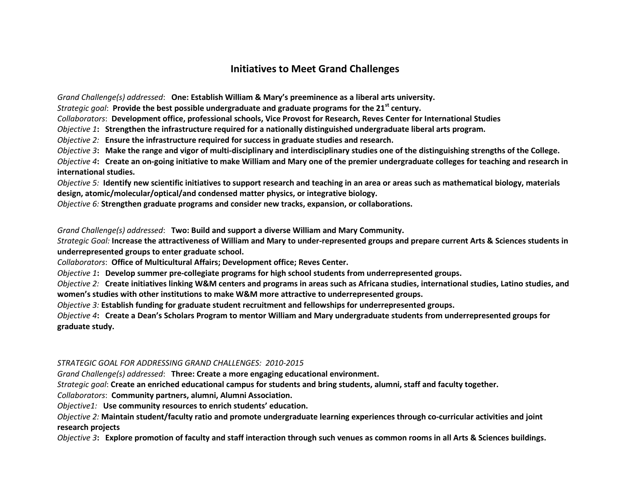## Initiatives to Meet Grand Challenges

Grand Challenge(s) addressed: One: Establish William & Mary's preeminence as a liberal arts university.

Strategic goal: Provide the best possible undergraduate and graduate programs for the 21st century.

Collaborators: Development office, professional schools, Vice Provost for Research, Reves Center for International Studies

Objective 1: Strengthen the infrastructure required for a nationally distinguished undergraduate liberal arts program.

Objective 2: Ensure the infrastructure required for success in graduate studies and research.

*Objective 3*: Make the range and vigor of multi-disciplinary and interdisciplinary studies one of the distinguishing strengths of the College.

Objective 4: Create an on-going initiative to make William and Mary one of the premier undergraduate colleges for teaching and research in international studies.

Objective 5: Identify new scientific initiatives to support research and teaching in an area or areas such as mathematical biology, materials design, atomic/molecular/optical/and condensed matter physics, or integrative biology.

Objective  $6$ : Strengthen graduate programs and consider new tracks, expansion, or collaborations.

Grand Challenge(s) addressed: Two: Build and support a diverse William and Mary Community.

Strategic Goal: Increase the attractiveness of William and Mary to under-represented groups and prepare current Arts & Sciences students in underrepresented groups to enter graduate school.

Collaborators: Office of Multicultural Affairs; Development office; Reves Center.

Objective 1: Develop summer pre-collegiate programs for high school students from underrepresented groups.

Objective 2: Create initiatives linking W&M centers and programs in areas such as Africana studies, international studies, Latino studies, and women's studies with other institutions to make W&M more attractive to underrepresented groups.

Objective 3: Establish funding for graduate student recruitment and fellowships for underrepresented groups.

Objective 4: Create a Dean's Scholars Program to mentor William and Mary undergraduate students from underrepresented groups for graduate study.

## STRATEGIC GOAL FOR ADDRESSING GRAND CHALLENGES: 2010-2015

Grand Challenge(s) addressed: Three: Create a more engaging educational environment.

Strategic goal: Create an enriched educational campus for students and bring students, alumni, staff and faculty together.

Collaborators: Community partners, alumni, Alumni Association.

Objective1: Use community resources to enrich students' education.

Objective 2: Maintain student/faculty ratio and promote undergraduate learning experiences through co-curricular activities and joint research projects

Objective 3: Explore promotion of faculty and staff interaction through such venues as common rooms in all Arts & Sciences buildings.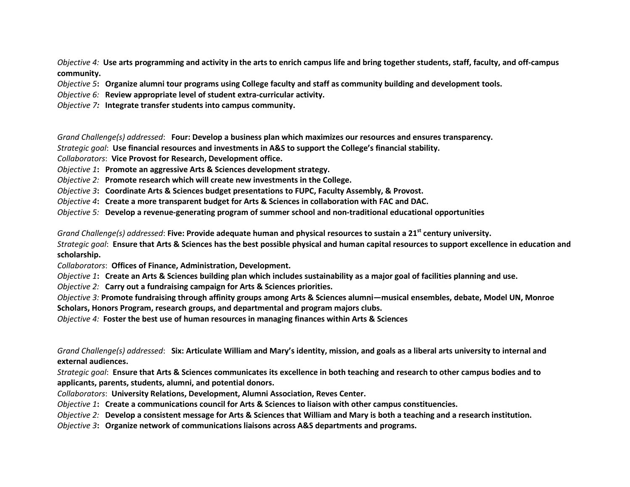Objective 4: Use arts programming and activity in the arts to enrich campus life and bring together students, staff, faculty, and off-campus community.

Objective 5: Organize alumni tour programs using College faculty and staff as community building and development tools.

Objective 6: Review appropriate level of student extra-curricular activity.

Objective 7: Integrate transfer students into campus community.

Grand Challenge(s) addressed: Four: Develop a business plan which maximizes our resources and ensures transparency.

Strategic goal: Use financial resources and investments in A&S to support the College's financial stability.

Collaborators: Vice Provost for Research, Development office.

Objective 1: Promote an aggressive Arts & Sciences development strategy.

Objective 2: Promote research which will create new investments in the College.

Objective 3: Coordinate Arts & Sciences budget presentations to FUPC, Faculty Assembly, & Provost.

Objective 4: Create a more transparent budget for Arts & Sciences in collaboration with FAC and DAC.

Objective 5: Develop a revenue-generating program of summer school and non-traditional educational opportunities

Grand Challenge(s) addressed: Five: Provide adequate human and physical resources to sustain a 21<sup>st</sup> century university.

Strategic goal: Ensure that Arts & Sciences has the best possible physical and human capital resources to support excellence in education and scholarship.

Collaborators: Offices of Finance, Administration, Development.

*Objective 1*: Create an Arts & Sciences building plan which includes sustainability as a major goal of facilities planning and use.

Objective 2: Carry out a fundraising campaign for Arts & Sciences priorities.

Objective 3: Promote fundraising through affinity groups among Arts & Sciences alumni—musical ensembles, debate, Model UN, Monroe Scholars, Honors Program, research groups, and departmental and program majors clubs.

Objective 4: Foster the best use of human resources in managing finances within Arts & Sciences

Grand Challenge(s) addressed: Six: Articulate William and Mary's identity, mission, and goals as a liberal arts university to internal and external audiences.

Strategic goal: Ensure that Arts & Sciences communicates its excellence in both teaching and research to other campus bodies and to applicants, parents, students, alumni, and potential donors.

Collaborators: University Relations, Development, Alumni Association, Reves Center.

Objective 1: Create a communications council for Arts & Sciences to liaison with other campus constituencies.

Objective 2: Develop a consistent message for Arts & Sciences that William and Mary is both a teaching and a research institution.

Objective 3: Organize network of communications liaisons across A&S departments and programs.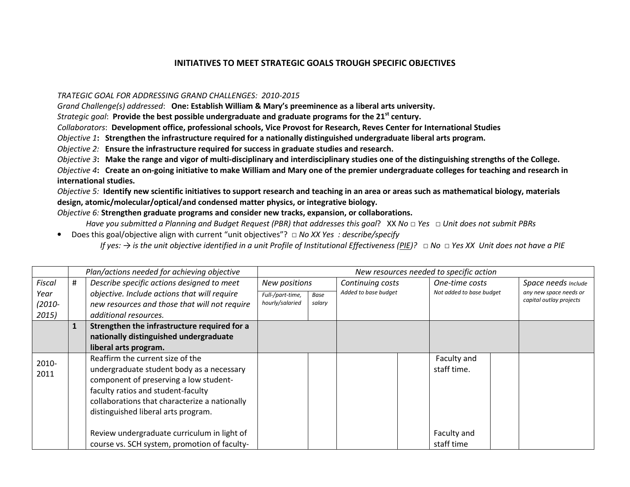## INITIATIVES TO MEET STRATEGIC GOALS TROUGH SPECIFIC OBJECTIVES

#### TRATEGIC GOAL FOR ADDRESSING GRAND CHALLENGES: 2010-2015

Grand Challenge(s) addressed: One: Establish William & Mary's preeminence as a liberal arts university.

Strategic goal: Provide the best possible undergraduate and graduate programs for the 21<sup>st</sup> century.

Collaborators: Development office, professional schools, Vice Provost for Research, Reves Center for International Studies

Objective 1: Strengthen the infrastructure required for a nationally distinguished undergraduate liberal arts program.

Objective 2: Ensure the infrastructure required for success in graduate studies and research.

Objective 3: Make the range and vigor of multi-disciplinary and interdisciplinary studies one of the distinguishing strengths of the College.

Objective 4: Create an on-going initiative to make William and Mary one of the premier undergraduate colleges for teaching and research in international studies.

Objective 5: Identify new scientific initiatives to support research and teaching in an area or areas such as mathematical biology, materials design, atomic/molecular/optical/and condensed matter physics, or integrative biology.

Objective  $6$ : Strengthen graduate programs and consider new tracks, expansion, or collaborations.

Have you submitted a Planning and Budget Request (PBR) that addresses this goal? XX No□ Yes □ Unit does not submit PBRs

● Does this goal/objective align with current "unit objectives"? □ No XX Yes : describe/specify If yes: → is the unit objective identified in a unit Profile of Institutional Effectiveness (<u>PIE</u>)? □ No □ Yes XX Unit does not have a PIE

|           | Plan/actions needed for achieving objective |                                               |                           |  |                      |                         | New resources needed to specific action |                        |
|-----------|---------------------------------------------|-----------------------------------------------|---------------------------|--|----------------------|-------------------------|-----------------------------------------|------------------------|
| Fiscal    | #                                           | Describe specific actions designed to meet    | New positions             |  | Continuing costs     |                         | One-time costs                          | Space needs Include    |
| Year      |                                             | objective. Include actions that will require  | Full-/part-time,<br>Base  |  | Added to base budget |                         | Not added to base budget                | any new space needs or |
| $(2010 -$ |                                             | new resources and those that will not require | hourly/salaried<br>salary |  |                      | capital outlay projects |                                         |                        |
| 2015)     |                                             | additional resources.                         |                           |  |                      |                         |                                         |                        |
|           |                                             | Strengthen the infrastructure required for a  |                           |  |                      |                         |                                         |                        |
|           |                                             | nationally distinguished undergraduate        |                           |  |                      |                         |                                         |                        |
|           |                                             | liberal arts program.                         |                           |  |                      |                         |                                         |                        |
| 2010-     |                                             | Reaffirm the current size of the              |                           |  |                      |                         | Faculty and                             |                        |
| 2011      |                                             | undergraduate student body as a necessary     |                           |  |                      |                         | staff time.                             |                        |
|           |                                             | component of preserving a low student-        |                           |  |                      |                         |                                         |                        |
|           |                                             | faculty ratios and student-faculty            |                           |  |                      |                         |                                         |                        |
|           |                                             | collaborations that characterize a nationally |                           |  |                      |                         |                                         |                        |
|           |                                             | distinguished liberal arts program.           |                           |  |                      |                         |                                         |                        |
|           |                                             |                                               |                           |  |                      |                         |                                         |                        |
|           |                                             | Review undergraduate curriculum in light of   |                           |  |                      |                         | Faculty and                             |                        |
|           |                                             | course vs. SCH system, promotion of faculty-  |                           |  |                      |                         | staff time                              |                        |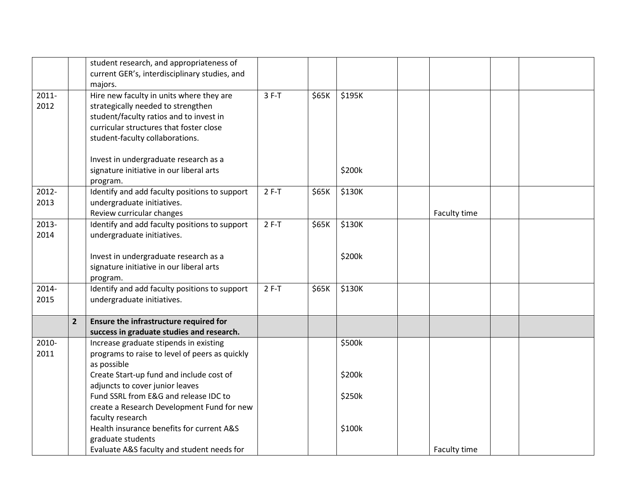|          |                | student research, and appropriateness of       |         |       |        |              |  |
|----------|----------------|------------------------------------------------|---------|-------|--------|--------------|--|
|          |                | current GER's, interdisciplinary studies, and  |         |       |        |              |  |
|          |                | majors.                                        |         |       |        |              |  |
| $2011 -$ |                | Hire new faculty in units where they are       | $3 F-T$ | \$65K | \$195K |              |  |
| 2012     |                | strategically needed to strengthen             |         |       |        |              |  |
|          |                | student/faculty ratios and to invest in        |         |       |        |              |  |
|          |                | curricular structures that foster close        |         |       |        |              |  |
|          |                | student-faculty collaborations.                |         |       |        |              |  |
|          |                |                                                |         |       |        |              |  |
|          |                | Invest in undergraduate research as a          |         |       |        |              |  |
|          |                | signature initiative in our liberal arts       |         |       | \$200k |              |  |
|          |                | program.                                       |         |       |        |              |  |
| 2012-    |                | Identify and add faculty positions to support  | $2 F-T$ | \$65K | \$130K |              |  |
| 2013     |                | undergraduate initiatives.                     |         |       |        |              |  |
|          |                | Review curricular changes                      |         |       |        | Faculty time |  |
| 2013-    |                | Identify and add faculty positions to support  | $2 F-T$ | \$65K | \$130K |              |  |
| 2014     |                | undergraduate initiatives.                     |         |       |        |              |  |
|          |                |                                                |         |       |        |              |  |
|          |                | Invest in undergraduate research as a          |         |       | \$200k |              |  |
|          |                | signature initiative in our liberal arts       |         |       |        |              |  |
|          |                | program.                                       |         |       |        |              |  |
| 2014-    |                | Identify and add faculty positions to support  | $2 F-T$ | \$65K | \$130K |              |  |
| 2015     |                | undergraduate initiatives.                     |         |       |        |              |  |
|          |                |                                                |         |       |        |              |  |
|          | $\overline{2}$ | Ensure the infrastructure required for         |         |       |        |              |  |
|          |                | success in graduate studies and research.      |         |       |        |              |  |
| 2010-    |                | Increase graduate stipends in existing         |         |       | \$500k |              |  |
| 2011     |                | programs to raise to level of peers as quickly |         |       |        |              |  |
|          |                | as possible                                    |         |       |        |              |  |
|          |                | Create Start-up fund and include cost of       |         |       | \$200k |              |  |
|          |                | adjuncts to cover junior leaves                |         |       |        |              |  |
|          |                | Fund SSRL from E&G and release IDC to          |         |       | \$250k |              |  |
|          |                | create a Research Development Fund for new     |         |       |        |              |  |
|          |                | faculty research                               |         |       |        |              |  |
|          |                | Health insurance benefits for current A&S      |         |       | \$100k |              |  |
|          |                | graduate students                              |         |       |        |              |  |
|          |                | Evaluate A&S faculty and student needs for     |         |       |        | Faculty time |  |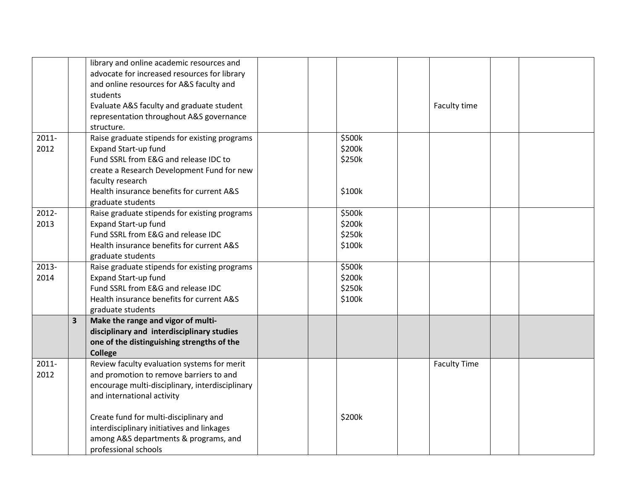|          |                         | library and online academic resources and       |  |        |                     |  |
|----------|-------------------------|-------------------------------------------------|--|--------|---------------------|--|
|          |                         | advocate for increased resources for library    |  |        |                     |  |
|          |                         | and online resources for A&S faculty and        |  |        |                     |  |
|          |                         | students                                        |  |        |                     |  |
|          |                         | Evaluate A&S faculty and graduate student       |  |        | Faculty time        |  |
|          |                         | representation throughout A&S governance        |  |        |                     |  |
|          |                         | structure.                                      |  |        |                     |  |
| $2011 -$ |                         | Raise graduate stipends for existing programs   |  | \$500k |                     |  |
| 2012     |                         | <b>Expand Start-up fund</b>                     |  | \$200k |                     |  |
|          |                         | Fund SSRL from E&G and release IDC to           |  | \$250k |                     |  |
|          |                         | create a Research Development Fund for new      |  |        |                     |  |
|          |                         | faculty research                                |  |        |                     |  |
|          |                         | Health insurance benefits for current A&S       |  | \$100k |                     |  |
|          |                         | graduate students                               |  |        |                     |  |
| 2012-    |                         | Raise graduate stipends for existing programs   |  | \$500k |                     |  |
| 2013     |                         | <b>Expand Start-up fund</b>                     |  | \$200k |                     |  |
|          |                         | Fund SSRL from E&G and release IDC              |  | \$250k |                     |  |
|          |                         | Health insurance benefits for current A&S       |  | \$100k |                     |  |
|          |                         | graduate students                               |  |        |                     |  |
| 2013-    |                         | Raise graduate stipends for existing programs   |  | \$500k |                     |  |
| 2014     |                         | <b>Expand Start-up fund</b>                     |  | \$200k |                     |  |
|          |                         | Fund SSRL from E&G and release IDC              |  | \$250k |                     |  |
|          |                         | Health insurance benefits for current A&S       |  | \$100k |                     |  |
|          |                         | graduate students                               |  |        |                     |  |
|          | $\overline{\mathbf{3}}$ | Make the range and vigor of multi-              |  |        |                     |  |
|          |                         | disciplinary and interdisciplinary studies      |  |        |                     |  |
|          |                         | one of the distinguishing strengths of the      |  |        |                     |  |
|          |                         | <b>College</b>                                  |  |        |                     |  |
| $2011 -$ |                         | Review faculty evaluation systems for merit     |  |        | <b>Faculty Time</b> |  |
| 2012     |                         | and promotion to remove barriers to and         |  |        |                     |  |
|          |                         | encourage multi-disciplinary, interdisciplinary |  |        |                     |  |
|          |                         | and international activity                      |  |        |                     |  |
|          |                         | Create fund for multi-disciplinary and          |  | \$200k |                     |  |
|          |                         | interdisciplinary initiatives and linkages      |  |        |                     |  |
|          |                         | among A&S departments & programs, and           |  |        |                     |  |
|          |                         | professional schools                            |  |        |                     |  |
|          |                         |                                                 |  |        |                     |  |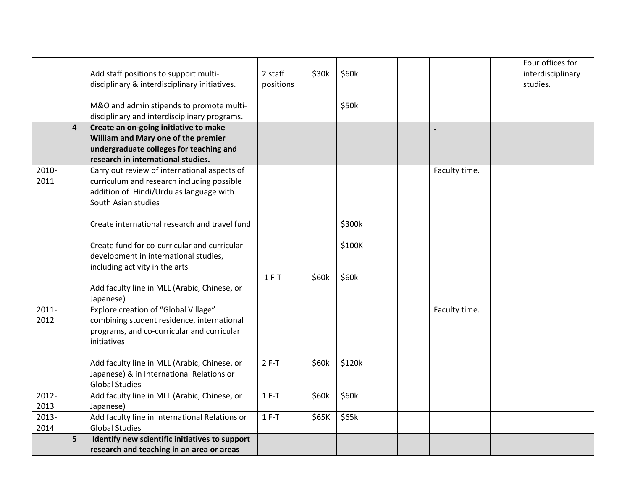|       |                | Add staff positions to support multi-                                         | 2 staff   | \$30k | \$60k  |               | Four offices for<br>interdisciplinary |
|-------|----------------|-------------------------------------------------------------------------------|-----------|-------|--------|---------------|---------------------------------------|
|       |                | disciplinary & interdisciplinary initiatives.                                 | positions |       |        |               | studies.                              |
|       |                | M&O and admin stipends to promote multi-                                      |           |       | \$50k  |               |                                       |
|       |                | disciplinary and interdisciplinary programs.                                  |           |       |        |               |                                       |
|       | $\overline{4}$ | Create an on-going initiative to make                                         |           |       |        |               |                                       |
|       |                | William and Mary one of the premier                                           |           |       |        |               |                                       |
|       |                | undergraduate colleges for teaching and<br>research in international studies. |           |       |        |               |                                       |
| 2010- |                | Carry out review of international aspects of                                  |           |       |        | Faculty time. |                                       |
| 2011  |                | curriculum and research including possible                                    |           |       |        |               |                                       |
|       |                | addition of Hindi/Urdu as language with                                       |           |       |        |               |                                       |
|       |                | South Asian studies                                                           |           |       |        |               |                                       |
|       |                |                                                                               |           |       |        |               |                                       |
|       |                | Create international research and travel fund                                 |           |       | \$300k |               |                                       |
|       |                |                                                                               |           |       |        |               |                                       |
|       |                | Create fund for co-curricular and curricular                                  |           |       | \$100K |               |                                       |
|       |                | development in international studies,                                         |           |       |        |               |                                       |
|       |                | including activity in the arts                                                |           |       |        |               |                                       |
|       |                |                                                                               | $1 F-T$   | \$60k | \$60k  |               |                                       |
|       |                | Add faculty line in MLL (Arabic, Chinese, or                                  |           |       |        |               |                                       |
| 2011- |                | Japanese)<br>Explore creation of "Global Village"                             |           |       |        | Faculty time. |                                       |
| 2012  |                | combining student residence, international                                    |           |       |        |               |                                       |
|       |                | programs, and co-curricular and curricular                                    |           |       |        |               |                                       |
|       |                | initiatives                                                                   |           |       |        |               |                                       |
|       |                |                                                                               |           |       |        |               |                                       |
|       |                | Add faculty line in MLL (Arabic, Chinese, or                                  | $2F-T$    | \$60k | \$120k |               |                                       |
|       |                | Japanese) & in International Relations or                                     |           |       |        |               |                                       |
|       |                | <b>Global Studies</b>                                                         |           |       |        |               |                                       |
| 2012- |                | Add faculty line in MLL (Arabic, Chinese, or                                  | $1 F-T$   | \$60k | \$60k  |               |                                       |
| 2013  |                | Japanese)                                                                     |           |       |        |               |                                       |
| 2013- |                | Add faculty line in International Relations or                                | $1 F-T$   | \$65K | \$65k  |               |                                       |
| 2014  |                | <b>Global Studies</b>                                                         |           |       |        |               |                                       |
|       | 5              | Identify new scientific initiatives to support                                |           |       |        |               |                                       |
|       |                | research and teaching in an area or areas                                     |           |       |        |               |                                       |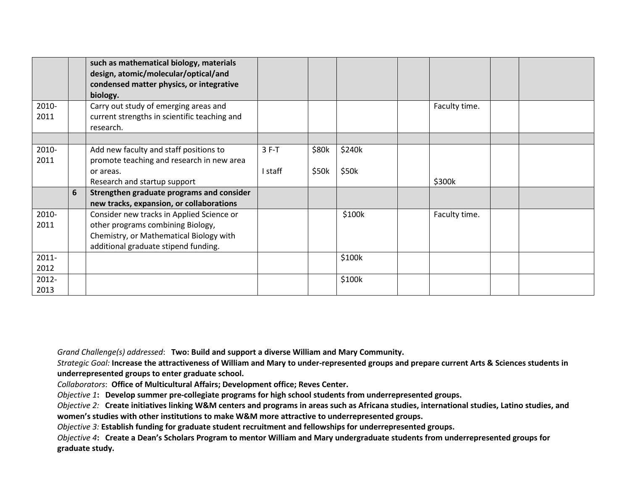|                  |   | such as mathematical biology, materials<br>design, atomic/molecular/optical/and<br>condensed matter physics, or integrative<br>biology.                           |         |       |        |               |  |
|------------------|---|-------------------------------------------------------------------------------------------------------------------------------------------------------------------|---------|-------|--------|---------------|--|
| 2010-<br>2011    |   | Carry out study of emerging areas and<br>current strengths in scientific teaching and<br>research.                                                                |         |       |        | Faculty time. |  |
|                  |   |                                                                                                                                                                   |         |       |        |               |  |
| 2010-<br>2011    |   | Add new faculty and staff positions to<br>promote teaching and research in new area                                                                               | $3F-T$  | \$80k | \$240k |               |  |
|                  |   | or areas.                                                                                                                                                         | I staff | \$50k | \$50k  |               |  |
|                  |   | Research and startup support                                                                                                                                      |         |       |        | \$300k        |  |
|                  | 6 | Strengthen graduate programs and consider<br>new tracks, expansion, or collaborations                                                                             |         |       |        |               |  |
| 2010-<br>2011    |   | Consider new tracks in Applied Science or<br>other programs combining Biology,<br>Chemistry, or Mathematical Biology with<br>additional graduate stipend funding. |         |       | \$100k | Faculty time. |  |
| $2011 -$<br>2012 |   |                                                                                                                                                                   |         |       | \$100k |               |  |
| 2012-<br>2013    |   |                                                                                                                                                                   |         |       | \$100k |               |  |

Grand Challenge(s) addressed: Two: Build and support a diverse William and Mary Community.

Strategic Goal: Increase the attractiveness of William and Mary to under-represented groups and prepare current Arts & Sciences students in underrepresented groups to enter graduate school.

Collaborators: Office of Multicultural Affairs; Development office; Reves Center.

Objective 1: Develop summer pre-collegiate programs for high school students from underrepresented groups.

Objective 2: Create initiatives linking W&M centers and programs in areas such as Africana studies, international studies, Latino studies, and women's studies with other institutions to make W&M more attractive to underrepresented groups.

Objective 3: Establish funding for graduate student recruitment and fellowships for underrepresented groups.

Objective 4: Create a Dean's Scholars Program to mentor William and Mary undergraduate students from underrepresented groups for graduate study.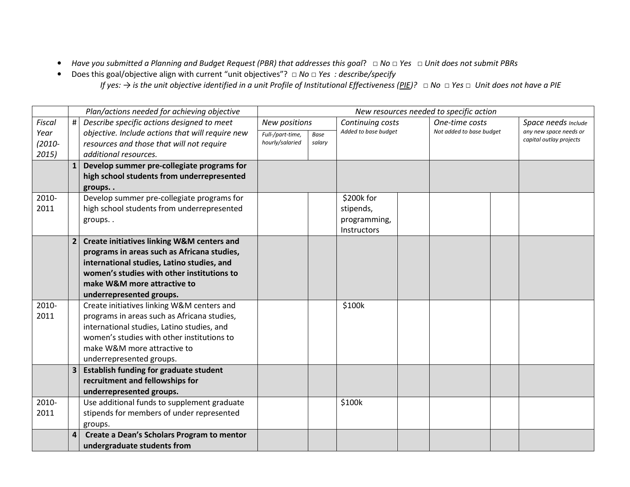- Have you submitted a Planning and Budget Request (PBR) that addresses this goal?  $\Box$  No  $\Box$  Yes  $\Box$  Unit does not submit PBRs
- $\bullet$ ● Does this goal/objective align with current "unit objectives"? □ No □ Yes : describe/specify If yes: → is the unit objective identified in a unit Profile of Institutional Effectiveness <u>(PIE</u>)? □ No □ Yes □ Unit does not have a PIE

|           |   | Plan/actions needed for achieving objective                                              |                  |        |                      | New resources needed to specific action |                         |
|-----------|---|------------------------------------------------------------------------------------------|------------------|--------|----------------------|-----------------------------------------|-------------------------|
| Fiscal    | # | Describe specific actions designed to meet                                               | New positions    |        | Continuing costs     | One-time costs                          | Space needs Include     |
| Year      |   | objective. Include actions that will require new                                         | Full-/part-time, | Base   | Added to base budget | Not added to base budget                | any new space needs or  |
| $(2010 -$ |   | resources and those that will not require                                                | hourly/salaried  | salary |                      |                                         | capital outlay projects |
| 2015)     |   | additional resources.                                                                    |                  |        |                      |                                         |                         |
|           |   | Develop summer pre-collegiate programs for                                               |                  |        |                      |                                         |                         |
|           |   | high school students from underrepresented                                               |                  |        |                      |                                         |                         |
|           |   | groups                                                                                   |                  |        |                      |                                         |                         |
| 2010-     |   | Develop summer pre-collegiate programs for                                               |                  |        | \$200k for           |                                         |                         |
| 2011      |   | high school students from underrepresented                                               |                  |        | stipends,            |                                         |                         |
|           |   | groups                                                                                   |                  |        | programming,         |                                         |                         |
|           |   |                                                                                          |                  |        | Instructors          |                                         |                         |
|           |   | <b>Create initiatives linking W&amp;M centers and</b>                                    |                  |        |                      |                                         |                         |
|           |   | programs in areas such as Africana studies,                                              |                  |        |                      |                                         |                         |
|           |   | international studies, Latino studies, and                                               |                  |        |                      |                                         |                         |
|           |   | women's studies with other institutions to                                               |                  |        |                      |                                         |                         |
|           |   | make W&M more attractive to                                                              |                  |        |                      |                                         |                         |
|           |   | underrepresented groups.                                                                 |                  |        |                      |                                         |                         |
| 2010-     |   | Create initiatives linking W&M centers and                                               |                  |        | \$100k               |                                         |                         |
| 2011      |   | programs in areas such as Africana studies,                                              |                  |        |                      |                                         |                         |
|           |   | international studies, Latino studies, and                                               |                  |        |                      |                                         |                         |
|           |   | women's studies with other institutions to                                               |                  |        |                      |                                         |                         |
|           |   | make W&M more attractive to                                                              |                  |        |                      |                                         |                         |
|           |   | underrepresented groups.                                                                 |                  |        |                      |                                         |                         |
|           |   | <b>Establish funding for graduate student</b>                                            |                  |        |                      |                                         |                         |
|           |   | recruitment and fellowships for                                                          |                  |        |                      |                                         |                         |
| 2010-     |   | underrepresented groups.                                                                 |                  |        |                      |                                         |                         |
| 2011      |   | Use additional funds to supplement graduate<br>stipends for members of under represented |                  |        | \$100k               |                                         |                         |
|           |   |                                                                                          |                  |        |                      |                                         |                         |
|           |   | groups.                                                                                  |                  |        |                      |                                         |                         |
|           |   | Create a Dean's Scholars Program to mentor                                               |                  |        |                      |                                         |                         |
|           |   | undergraduate students from                                                              |                  |        |                      |                                         |                         |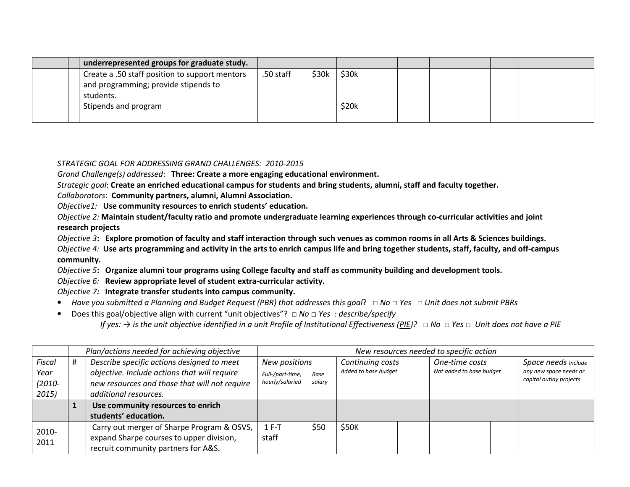| underrepresented groups for graduate study.                                            |           |       |       |  |  |
|----------------------------------------------------------------------------------------|-----------|-------|-------|--|--|
| Create a .50 staff position to support mentors<br>and programming; provide stipends to | .50 staff | \$30k | \$30k |  |  |
| students.<br>Stipends and program                                                      |           |       | \$20k |  |  |

STRATEGIC GOAL FOR ADDRESSING GRAND CHALLENGES: 2010-2015

Grand Challenge(s) addressed: Three: Create a more engaging educational environment.

Strategic goal: Create an enriched educational campus for students and bring students, alumni, staff and faculty together.

Collaborators: Community partners, alumni, Alumni Association.

Objective1: Use community resources to enrich students' education.

Objective 2: Maintain student/faculty ratio and promote undergraduate learning experiences through co-curricular activities and joint research projects

Objective 3: Explore promotion of faculty and staff interaction through such venues as common rooms in all Arts & Sciences buildings.

Objective 4: Use arts programming and activity in the arts to enrich campus life and bring together students, staff, faculty, and off-campus community.

Objective 5: Organize alumni tour programs using College faculty and staff as community building and development tools.

Objective 6: Review appropriate level of student extra-curricular activity.

Objective 7: Integrate transfer students into campus community.

- Have you submitted a Planning and Budget Request (PBR) that addresses this goal?  $\Box$  No  $\Box$  Yes  $\Box$  Unit does not submit PBRs
- $\bullet$ ● Does this goal/objective align with current "unit objectives"?  $□$  No  $□$  Yes : describe/specify

If yes:  $\rightarrow$  is the unit objective identified in a unit Profile of Institutional Effectiveness (PIE)?  $\Box$  No  $\Box$  Yes  $\Box$  Unit does not have a PIE

|           | Plan/actions needed for achieving objective   |                                                  |        |                          |  | New resources needed to specific action |  |                         |
|-----------|-----------------------------------------------|--------------------------------------------------|--------|--------------------------|--|-----------------------------------------|--|-------------------------|
| Fiscal    | Describe specific actions designed to meet    | New positions                                    |        | Continuing costs         |  | One-time costs                          |  | Space needs Include     |
| Year      | objective. Include actions that will require  | Added to base budget<br>Full-/part-time,<br>Base |        | Not added to base budget |  | any new space needs or                  |  |                         |
| $(2010 -$ | new resources and those that will not require | hourly/salaried                                  | salary |                          |  |                                         |  | capital outlay projects |
| 2015)     | additional resources.                         |                                                  |        |                          |  |                                         |  |                         |
|           | Use community resources to enrich             |                                                  |        |                          |  |                                         |  |                         |
|           | students' education.                          |                                                  |        |                          |  |                                         |  |                         |
| 2010-     | Carry out merger of Sharpe Program & OSVS,    | $1 F-T$                                          | \$50   | \$50K                    |  |                                         |  |                         |
| 2011      | expand Sharpe courses to upper division,      | staff                                            |        |                          |  |                                         |  |                         |
|           | recruit community partners for A&S.           |                                                  |        |                          |  |                                         |  |                         |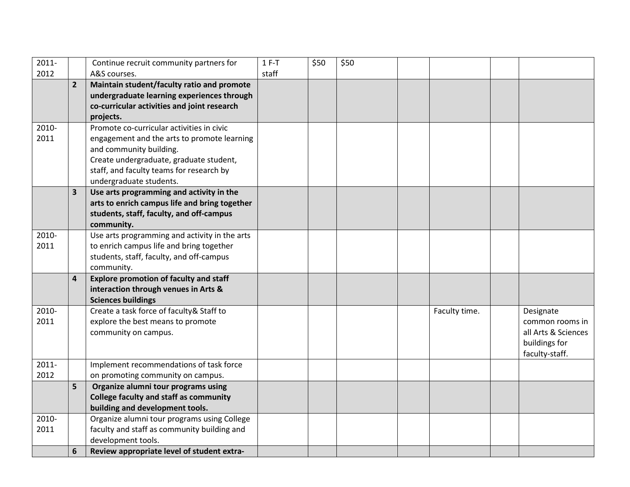| 2011-    |                         | Continue recruit community partners for                           | $1 F-T$ | \$50 | \$50 |               |                     |
|----------|-------------------------|-------------------------------------------------------------------|---------|------|------|---------------|---------------------|
| 2012     |                         | A&S courses.                                                      | staff   |      |      |               |                     |
|          | $\overline{2}$          | Maintain student/faculty ratio and promote                        |         |      |      |               |                     |
|          |                         | undergraduate learning experiences through                        |         |      |      |               |                     |
|          |                         | co-curricular activities and joint research                       |         |      |      |               |                     |
|          |                         | projects.                                                         |         |      |      |               |                     |
| 2010-    |                         | Promote co-curricular activities in civic                         |         |      |      |               |                     |
| 2011     |                         | engagement and the arts to promote learning                       |         |      |      |               |                     |
|          |                         | and community building.                                           |         |      |      |               |                     |
|          |                         | Create undergraduate, graduate student,                           |         |      |      |               |                     |
|          |                         | staff, and faculty teams for research by                          |         |      |      |               |                     |
|          |                         | undergraduate students.                                           |         |      |      |               |                     |
|          | $\overline{\mathbf{3}}$ | Use arts programming and activity in the                          |         |      |      |               |                     |
|          |                         | arts to enrich campus life and bring together                     |         |      |      |               |                     |
|          |                         | students, staff, faculty, and off-campus                          |         |      |      |               |                     |
|          |                         | community.                                                        |         |      |      |               |                     |
| 2010-    |                         | Use arts programming and activity in the arts                     |         |      |      |               |                     |
| 2011     |                         | to enrich campus life and bring together                          |         |      |      |               |                     |
|          |                         | students, staff, faculty, and off-campus                          |         |      |      |               |                     |
|          |                         | community.                                                        |         |      |      |               |                     |
|          | $\overline{a}$          | <b>Explore promotion of faculty and staff</b>                     |         |      |      |               |                     |
|          |                         | interaction through venues in Arts &<br><b>Sciences buildings</b> |         |      |      |               |                     |
| 2010-    |                         | Create a task force of faculty& Staff to                          |         |      |      | Faculty time. | Designate           |
| 2011     |                         | explore the best means to promote                                 |         |      |      |               | common rooms in     |
|          |                         | community on campus.                                              |         |      |      |               | all Arts & Sciences |
|          |                         |                                                                   |         |      |      |               | buildings for       |
|          |                         |                                                                   |         |      |      |               | faculty-staff.      |
| $2011 -$ |                         | Implement recommendations of task force                           |         |      |      |               |                     |
| 2012     |                         | on promoting community on campus.                                 |         |      |      |               |                     |
|          | 5                       | Organize alumni tour programs using                               |         |      |      |               |                     |
|          |                         | <b>College faculty and staff as community</b>                     |         |      |      |               |                     |
|          |                         | building and development tools.                                   |         |      |      |               |                     |
| 2010-    |                         | Organize alumni tour programs using College                       |         |      |      |               |                     |
| 2011     |                         | faculty and staff as community building and                       |         |      |      |               |                     |
|          |                         | development tools.                                                |         |      |      |               |                     |
|          | 6                       | Review appropriate level of student extra-                        |         |      |      |               |                     |
|          |                         |                                                                   |         |      |      |               |                     |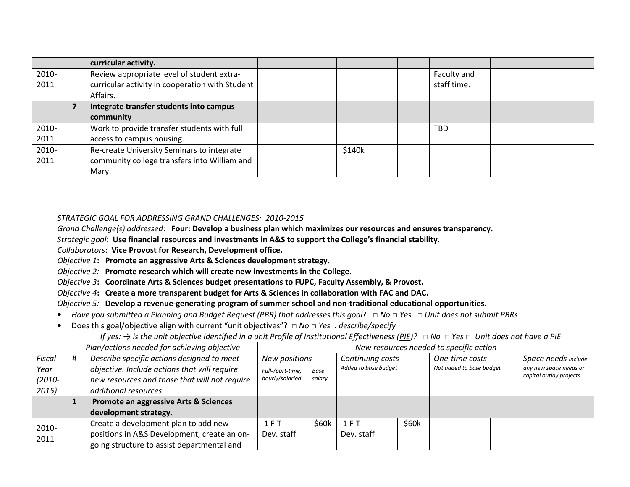|       | curricular activity.                            |  |        |             |  |
|-------|-------------------------------------------------|--|--------|-------------|--|
| 2010- | Review appropriate level of student extra-      |  |        | Faculty and |  |
| 2011  | curricular activity in cooperation with Student |  |        | staff time. |  |
|       | Affairs.                                        |  |        |             |  |
|       | Integrate transfer students into campus         |  |        |             |  |
|       | community                                       |  |        |             |  |
| 2010- | Work to provide transfer students with full     |  |        | <b>TBD</b>  |  |
| 2011  | access to campus housing.                       |  |        |             |  |
| 2010- | Re-create University Seminars to integrate      |  | \$140k |             |  |
| 2011  | community college transfers into William and    |  |        |             |  |
|       | Mary.                                           |  |        |             |  |

### STRATEGIC GOAL FOR ADDRESSING GRAND CHALLENGES: 2010-2015

Grand Challenge(s) addressed: Four: Develop a business plan which maximizes our resources and ensures transparency.

Strategic goal: Use financial resources and investments in A&S to support the College's financial stability.

Collaborators: Vice Provost for Research, Development office.

- Objective 1: Promote an aggressive Arts & Sciences development strategy.
- Objective 2: Promote research which will create new investments in the College.

Objective 3: Coordinate Arts & Sciences budget presentations to FUPC, Faculty Assembly, & Provost.

Objective 4: Create a more transparent budget for Arts & Sciences in collaboration with FAC and DAC.

Objective 5: Develop a revenue-generating program of summer school and non-traditional educational opportunities.

- Have you submitted a Planning and Budget Request (PBR) that addresses this goal?  $\Box$  No  $\Box$  Yes  $\Box$  Unit does not submit PBRs
- $\bullet$ ● Does this goal/objective align with current "unit objectives"?  $□$  No  $□$  Yes : describe/specify

## If yes:  $\rightarrow$  is the unit objective identified in a unit Profile of Institutional Effectiveness (PIE)?  $\Box$  No  $\Box$  Yes  $\Box$  Unit does not have a PIE

|           | Plan/actions needed for achieving objective   |                  |        |                      |       | New resources needed to specific action |  |                         |
|-----------|-----------------------------------------------|------------------|--------|----------------------|-------|-----------------------------------------|--|-------------------------|
| Fiscal    | Describe specific actions designed to meet    | New positions    |        | Continuing costs     |       | One-time costs                          |  | Space needs Include     |
| Year      | objective. Include actions that will require  | Full-/part-time, | Base   | Added to base budget |       | Not added to base budget                |  | any new space needs or  |
| $(2010 -$ | new resources and those that will not require | hourly/salaried  | salary |                      |       |                                         |  | capital outlay projects |
| 2015)     | additional resources.                         |                  |        |                      |       |                                         |  |                         |
|           | Promote an aggressive Arts & Sciences         |                  |        |                      |       |                                         |  |                         |
|           | development strategy.                         |                  |        |                      |       |                                         |  |                         |
| 2010-     | Create a development plan to add new          | $1 F-T$          | \$60k  | $1 F-T$              | \$60k |                                         |  |                         |
| 2011      | positions in A&S Development, create an on-   | Dev. staff       |        | Dev. staff           |       |                                         |  |                         |
|           | going structure to assist departmental and    |                  |        |                      |       |                                         |  |                         |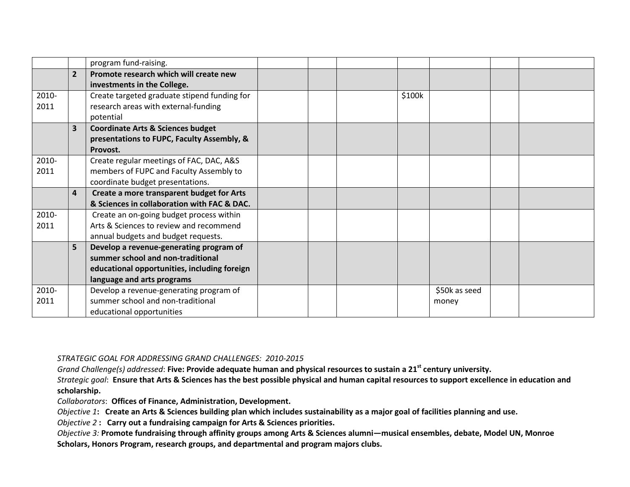|       |                         | program fund-raising.                        |  |        |               |  |
|-------|-------------------------|----------------------------------------------|--|--------|---------------|--|
|       | $\overline{2}$          | Promote research which will create new       |  |        |               |  |
|       |                         | investments in the College.                  |  |        |               |  |
| 2010- |                         | Create targeted graduate stipend funding for |  | \$100k |               |  |
| 2011  |                         | research areas with external-funding         |  |        |               |  |
|       |                         | potential                                    |  |        |               |  |
|       | $\overline{3}$          | <b>Coordinate Arts &amp; Sciences budget</b> |  |        |               |  |
|       |                         | presentations to FUPC, Faculty Assembly, &   |  |        |               |  |
|       |                         | Provost.                                     |  |        |               |  |
| 2010- |                         | Create regular meetings of FAC, DAC, A&S     |  |        |               |  |
| 2011  |                         | members of FUPC and Faculty Assembly to      |  |        |               |  |
|       |                         | coordinate budget presentations.             |  |        |               |  |
|       | $\overline{\mathbf{4}}$ | Create a more transparent budget for Arts    |  |        |               |  |
|       |                         | & Sciences in collaboration with FAC & DAC.  |  |        |               |  |
| 2010- |                         | Create an on-going budget process within     |  |        |               |  |
| 2011  |                         | Arts & Sciences to review and recommend      |  |        |               |  |
|       |                         | annual budgets and budget requests.          |  |        |               |  |
|       | $5\overline{5}$         | Develop a revenue-generating program of      |  |        |               |  |
|       |                         | summer school and non-traditional            |  |        |               |  |
|       |                         | educational opportunities, including foreign |  |        |               |  |
|       |                         | language and arts programs                   |  |        |               |  |
| 2010- |                         | Develop a revenue-generating program of      |  |        | \$50k as seed |  |
| 2011  |                         | summer school and non-traditional            |  |        | money         |  |
|       |                         | educational opportunities                    |  |        |               |  |

STRATEGIC GOAL FOR ADDRESSING GRAND CHALLENGES: 2010-2015

Grand Challenge(s) addressed: Five: Provide adequate human and physical resources to sustain a 21<sup>st</sup> century university.

Strategic goal: Ensure that Arts & Sciences has the best possible physical and human capital resources to support excellence in education and scholarship.

Collaborators: Offices of Finance, Administration, Development.

Objective 1: Create an Arts & Sciences building plan which includes sustainability as a major goal of facilities planning and use.

Objective 2 : Carry out a fundraising campaign for Arts & Sciences priorities.

Objective 3: Promote fundraising through affinity groups among Arts & Sciences alumni—musical ensembles, debate, Model UN, Monroe Scholars, Honors Program, research groups, and departmental and program majors clubs.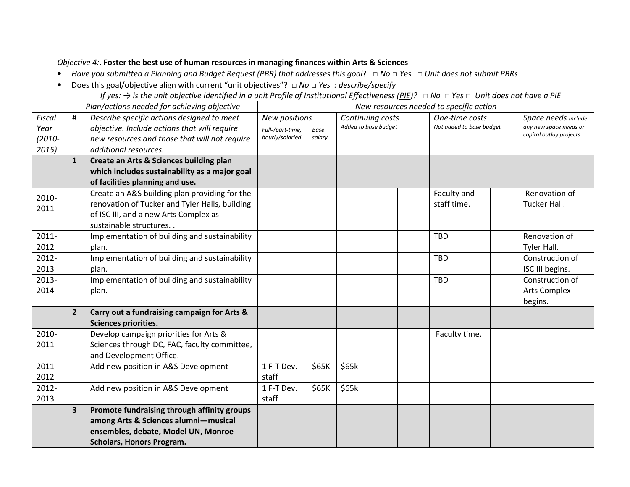## Objective 4:. Foster the best use of human resources in managing finances within Arts & Sciences

- Have you submitted a Planning and Budget Request (PBR) that addresses this goal?  $\Box$  No  $\Box$  Yes  $\Box$  Unit does not submit PBRs
- Does this goal/objective align with current "unit objectives"?  $\Box$  No  $\Box$  Yes : describe/specify
	- If yes:  $\rightarrow$  is the unit objective identified in a unit Profile of Institutional Effectiveness (PIE)?  $\Box$  No  $\Box$  Yes  $\Box$  Unit does not have a PIE

|               | Plan/actions needed for achieving objective |                                                                         | New resources needed to specific action |        |                      |  |                          |  |                         |
|---------------|---------------------------------------------|-------------------------------------------------------------------------|-----------------------------------------|--------|----------------------|--|--------------------------|--|-------------------------|
| Fiscal        | $\#$                                        | Describe specific actions designed to meet                              | New positions                           |        | Continuing costs     |  | One-time costs           |  | Space needs Include     |
| Year          |                                             | objective. Include actions that will require                            | Full-/part-time,                        | Base   | Added to base budget |  | Not added to base budget |  | any new space needs or  |
| $(2010 -$     |                                             | new resources and those that will not require                           | hourly/salaried                         | salary |                      |  |                          |  | capital outlay projects |
| 2015)         |                                             | additional resources.                                                   |                                         |        |                      |  |                          |  |                         |
|               | $\mathbf{1}$                                | Create an Arts & Sciences building plan                                 |                                         |        |                      |  |                          |  |                         |
|               |                                             | which includes sustainability as a major goal                           |                                         |        |                      |  |                          |  |                         |
|               |                                             | of facilities planning and use.                                         |                                         |        |                      |  |                          |  |                         |
| 2010-         |                                             | Create an A&S building plan providing for the                           |                                         |        |                      |  | Faculty and              |  | Renovation of           |
| 2011          |                                             | renovation of Tucker and Tyler Halls, building                          |                                         |        |                      |  | staff time.              |  | Tucker Hall.            |
|               |                                             | of ISC III, and a new Arts Complex as                                   |                                         |        |                      |  |                          |  |                         |
|               |                                             | sustainable structures                                                  |                                         |        |                      |  |                          |  |                         |
| $2011 -$      |                                             | Implementation of building and sustainability                           |                                         |        |                      |  | <b>TBD</b>               |  | Renovation of           |
| 2012          |                                             | plan.                                                                   |                                         |        |                      |  |                          |  | Tyler Hall.             |
| 2012-         |                                             | Implementation of building and sustainability                           |                                         |        |                      |  | <b>TBD</b>               |  | Construction of         |
| 2013          |                                             | plan.                                                                   |                                         |        |                      |  |                          |  | ISC III begins.         |
| 2013-         |                                             | Implementation of building and sustainability                           |                                         |        |                      |  | <b>TBD</b>               |  | Construction of         |
| 2014          |                                             | plan.                                                                   |                                         |        |                      |  |                          |  | <b>Arts Complex</b>     |
|               |                                             |                                                                         |                                         |        |                      |  |                          |  | begins.                 |
|               | $\overline{2}$                              | Carry out a fundraising campaign for Arts &                             |                                         |        |                      |  |                          |  |                         |
|               |                                             | Sciences priorities.                                                    |                                         |        |                      |  |                          |  |                         |
| 2010-<br>2011 |                                             | Develop campaign priorities for Arts &                                  |                                         |        |                      |  | Faculty time.            |  |                         |
|               |                                             | Sciences through DC, FAC, faculty committee,<br>and Development Office. |                                         |        |                      |  |                          |  |                         |
| $2011 -$      |                                             | Add new position in A&S Development                                     | 1 F-T Dev.                              | \$65K  | \$65k                |  |                          |  |                         |
| 2012          |                                             |                                                                         | staff                                   |        |                      |  |                          |  |                         |
| 2012-         |                                             | Add new position in A&S Development                                     | 1 F-T Dev.                              | \$65K  | \$65k                |  |                          |  |                         |
| 2013          |                                             |                                                                         | staff                                   |        |                      |  |                          |  |                         |
|               | $\overline{\mathbf{3}}$                     | Promote fundraising through affinity groups                             |                                         |        |                      |  |                          |  |                         |
|               |                                             | among Arts & Sciences alumni-musical                                    |                                         |        |                      |  |                          |  |                         |
|               |                                             | ensembles, debate, Model UN, Monroe                                     |                                         |        |                      |  |                          |  |                         |
|               |                                             | <b>Scholars, Honors Program.</b>                                        |                                         |        |                      |  |                          |  |                         |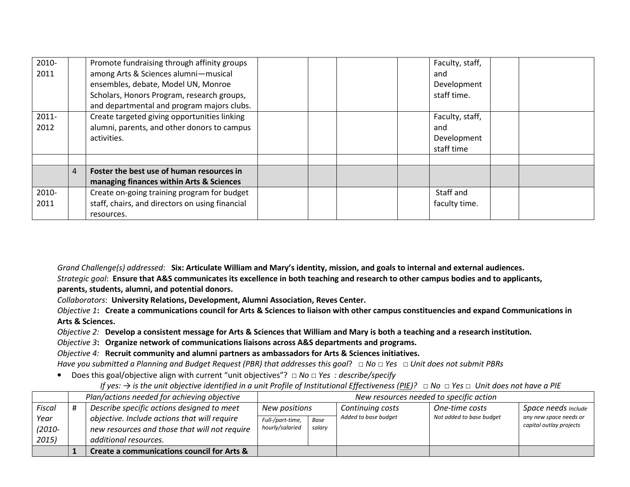| 2010-<br>2011    |   | Promote fundraising through affinity groups<br>among Arts & Sciences alumni-musical<br>ensembles, debate, Model UN, Monroe<br>Scholars, Honors Program, research groups,<br>and departmental and program majors clubs. |  |  | Faculty, staff,<br>and<br>Development<br>staff time. |  |
|------------------|---|------------------------------------------------------------------------------------------------------------------------------------------------------------------------------------------------------------------------|--|--|------------------------------------------------------|--|
| $2011 -$<br>2012 |   | Create targeted giving opportunities linking<br>alumni, parents, and other donors to campus<br>activities.                                                                                                             |  |  | Faculty, staff,<br>and<br>Development<br>staff time  |  |
|                  |   |                                                                                                                                                                                                                        |  |  |                                                      |  |
|                  | 4 | Foster the best use of human resources in<br>managing finances within Arts & Sciences                                                                                                                                  |  |  |                                                      |  |
| 2010-<br>2011    |   | Create on-going training program for budget<br>staff, chairs, and directors on using financial<br>resources.                                                                                                           |  |  | Staff and<br>faculty time.                           |  |

Grand Challenge(s) addressed: Six: Articulate William and Mary's identity, mission, and goals to internal and external audiences. Strategic goal: Ensure that A&S communicates its excellence in both teaching and research to other campus bodies and to applicants, parents, students, alumni, and potential donors.

Collaborators: University Relations, Development, Alumni Association, Reves Center.

Objective 1: Create a communications council for Arts & Sciences to liaison with other campus constituencies and expand Communications in Arts & Sciences.

Objective 2: Develop a consistent message for Arts & Sciences that William and Mary is both a teaching and a research institution.

Objective 3: Organize network of communications liaisons across A&S departments and programs.

Objective 4: Recruit community and alumni partners as ambassadors for Arts & Sciences initiatives.

Have you submitted a Planning and Budget Request (PBR) that addresses this goal?  $\Box$  No  $\Box$  Yes  $\Box$  Unit does not submit PBRs

• Does this goal/objective align with current "unit objectives"?  $\Box$  No  $\Box$  Yes : describe/specify

If yes:  $\rightarrow$  is the unit objective identified in a unit Profile of Institutional Effectiveness (PIE)?  $\Box$  No  $\Box$  Yes  $\Box$  Unit does not have a PIE

|           | Plan/actions needed for achieving objective   | New resources needed to specific action |             |                      |                          |                                                   |  |
|-----------|-----------------------------------------------|-----------------------------------------|-------------|----------------------|--------------------------|---------------------------------------------------|--|
| Fiscal    | Describe specific actions designed to meet    | New positions                           |             | Continuing costs     | One-time costs           | Space needs Include                               |  |
| Year      | objective. Include actions that will require  | Full-/part-time,                        | <b>Base</b> | Added to base budget | Not added to base budget | any new space needs or<br>capital outlay projects |  |
| $(2010 -$ | new resources and those that will not require | hourly/salaried                         | salary      |                      |                          |                                                   |  |
| 2015)     | additional resources.                         |                                         |             |                      |                          |                                                   |  |
|           | Create a communications council for Arts &    |                                         |             |                      |                          |                                                   |  |